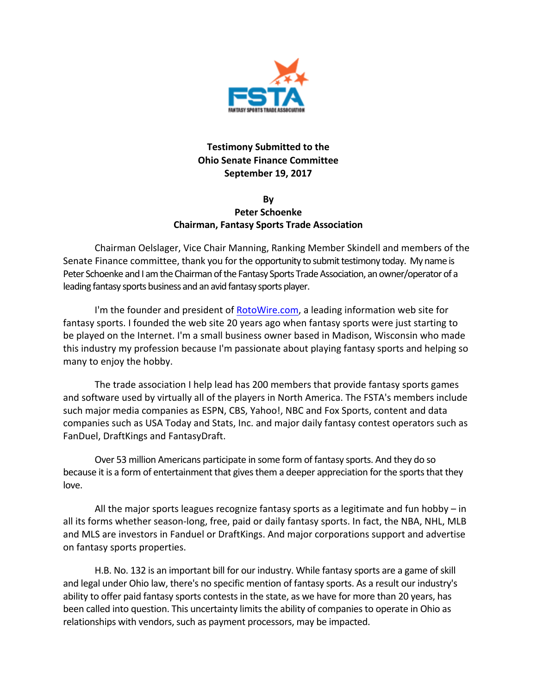

## **Testimony Submitted to the Ohio Senate Finance Committee September 19, 2017**

## **By Peter Schoenke Chairman, Fantasy Sports Trade Association**

Chairman Oelslager, Vice Chair Manning, Ranking Member Skindell and members of the Senate Finance committee, thank you for the opportunity to submit testimony today. My name is Peter Schoenke and I am the Chairman of the Fantasy Sports Trade Association, an owner/operator of a leading fantasy sports business and an avid fantasy sports player.

I'm the founder and president of RotoWire.com, a leading information web site for fantasy sports. I founded the web site 20 years ago when fantasy sports were just starting to be played on the Internet. I'm a small business owner based in Madison, Wisconsin who made this industry my profession because I'm passionate about playing fantasy sports and helping so many to enjoy the hobby.

The trade association I help lead has 200 members that provide fantasy sports games and software used by virtually all of the players in North America. The FSTA's members include such major media companies as ESPN, CBS, Yahoo!, NBC and Fox Sports, content and data companies such as USA Today and Stats, Inc. and major daily fantasy contest operators such as FanDuel, DraftKings and FantasyDraft.

Over 53 million Americans participate in some form of fantasy sports. And they do so because it is a form of entertainment that gives them a deeper appreciation for the sports that they love.

All the major sports leagues recognize fantasy sports as a legitimate and fun hobby  $-$  in all its forms whether season-long, free, paid or daily fantasy sports. In fact, the NBA, NHL, MLB and MLS are investors in Fanduel or DraftKings. And major corporations support and advertise on fantasy sports properties.

H.B. No. 132 is an important bill for our industry. While fantasy sports are a game of skill and legal under Ohio law, there's no specific mention of fantasy sports. As a result our industry's ability to offer paid fantasy sports contests in the state, as we have for more than 20 years, has been called into question. This uncertainty limits the ability of companies to operate in Ohio as relationships with vendors, such as payment processors, may be impacted.